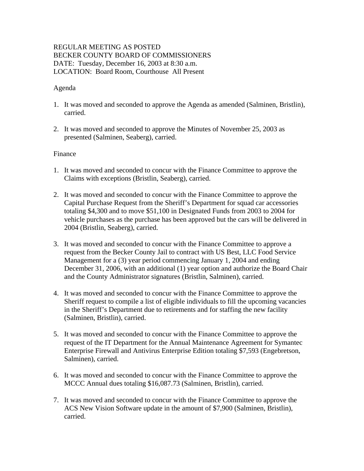# REGULAR MEETING AS POSTED BECKER COUNTY BOARD OF COMMISSIONERS DATE: Tuesday, December 16, 2003 at 8:30 a.m. LOCATION: Board Room, Courthouse All Present

# Agenda

- 1. It was moved and seconded to approve the Agenda as amended (Salminen, Bristlin), carried.
- 2. It was moved and seconded to approve the Minutes of November 25, 2003 as presented (Salminen, Seaberg), carried.

#### Finance

- 1. It was moved and seconded to concur with the Finance Committee to approve the Claims with exceptions (Bristlin, Seaberg), carried.
- 2. It was moved and seconded to concur with the Finance Committee to approve the Capital Purchase Request from the Sheriff's Department for squad car accessories totaling \$4,300 and to move \$51,100 in Designated Funds from 2003 to 2004 for vehicle purchases as the purchase has been approved but the cars will be delivered in 2004 (Bristlin, Seaberg), carried.
- 3. It was moved and seconded to concur with the Finance Committee to approve a request from the Becker County Jail to contract with US Best, LLC Food Service Management for a (3) year period commencing January 1, 2004 and ending December 31, 2006, with an additional (1) year option and authorize the Board Chair and the County Administrator signatures (Bristlin, Salminen), carried.
- 4. It was moved and seconded to concur with the Finance Committee to approve the Sheriff request to compile a list of eligible individuals to fill the upcoming vacancies in the Sheriff's Department due to retirements and for staffing the new facility (Salminen, Bristlin), carried.
- 5. It was moved and seconded to concur with the Finance Committee to approve the request of the IT Department for the Annual Maintenance Agreement for Symantec Enterprise Firewall and Antivirus Enterprise Edition totaling \$7,593 (Engebretson, Salminen), carried.
- 6. It was moved and seconded to concur with the Finance Committee to approve the MCCC Annual dues totaling \$16,087.73 (Salminen, Bristlin), carried.
- 7. It was moved and seconded to concur with the Finance Committee to approve the ACS New Vision Software update in the amount of \$7,900 (Salminen, Bristlin), carried.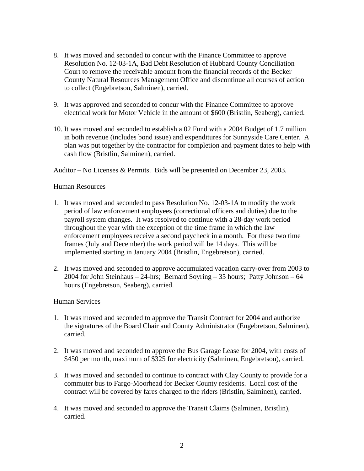- 8. It was moved and seconded to concur with the Finance Committee to approve Resolution No. 12-03-1A, Bad Debt Resolution of Hubbard County Conciliation Court to remove the receivable amount from the financial records of the Becker County Natural Resources Management Office and discontinue all courses of action to collect (Engebretson, Salminen), carried.
- 9. It was approved and seconded to concur with the Finance Committee to approve electrical work for Motor Vehicle in the amount of \$600 (Bristlin, Seaberg), carried.
- 10. It was moved and seconded to establish a 02 Fund with a 2004 Budget of 1.7 million in both revenue (includes bond issue) and expenditures for Sunnyside Care Center. A plan was put together by the contractor for completion and payment dates to help with cash flow (Bristlin, Salminen), carried.

Auditor – No Licenses & Permits. Bids will be presented on December 23, 2003.

# Human Resources

- 1. It was moved and seconded to pass Resolution No. 12-03-1A to modify the work period of law enforcement employees (correctional officers and duties) due to the payroll system changes. It was resolved to continue with a 28-day work period throughout the year with the exception of the time frame in which the law enforcement employees receive a second paycheck in a month. For these two time frames (July and December) the work period will be 14 days. This will be implemented starting in January 2004 (Bristlin, Engebretson), carried.
- 2. It was moved and seconded to approve accumulated vacation carry-over from 2003 to 2004 for John Steinhaus – 24-hrs; Bernard Soyring – 35 hours; Patty Johnson – 64 hours (Engebretson, Seaberg), carried.

#### Human Services

- 1. It was moved and seconded to approve the Transit Contract for 2004 and authorize the signatures of the Board Chair and County Administrator (Engebretson, Salminen), carried.
- 2. It was moved and seconded to approve the Bus Garage Lease for 2004, with costs of \$450 per month, maximum of \$325 for electricity (Salminen, Engebretson), carried.
- 3. It was moved and seconded to continue to contract with Clay County to provide for a commuter bus to Fargo-Moorhead for Becker County residents. Local cost of the contract will be covered by fares charged to the riders (Bristlin, Salminen), carried.
- 4. It was moved and seconded to approve the Transit Claims (Salminen, Bristlin), carried.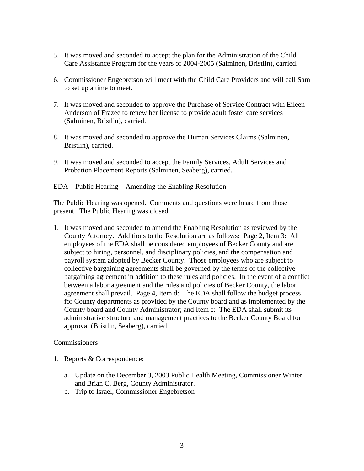- 5. It was moved and seconded to accept the plan for the Administration of the Child Care Assistance Program for the years of 2004-2005 (Salminen, Bristlin), carried.
- 6. Commissioner Engebretson will meet with the Child Care Providers and will call Sam to set up a time to meet.
- 7. It was moved and seconded to approve the Purchase of Service Contract with Eileen Anderson of Frazee to renew her license to provide adult foster care services (Salminen, Bristlin), carried.
- 8. It was moved and seconded to approve the Human Services Claims (Salminen, Bristlin), carried.
- 9. It was moved and seconded to accept the Family Services, Adult Services and Probation Placement Reports (Salminen, Seaberg), carried.

EDA – Public Hearing – Amending the Enabling Resolution

The Public Hearing was opened. Comments and questions were heard from those present. The Public Hearing was closed.

1. It was moved and seconded to amend the Enabling Resolution as reviewed by the County Attorney. Additions to the Resolution are as follows: Page 2, Item 3: All employees of the EDA shall be considered employees of Becker County and are subject to hiring, personnel, and disciplinary policies, and the compensation and payroll system adopted by Becker County. Those employees who are subject to collective bargaining agreements shall be governed by the terms of the collective bargaining agreement in addition to these rules and policies. In the event of a conflict between a labor agreement and the rules and policies of Becker County, the labor agreement shall prevail. Page 4, Item d: The EDA shall follow the budget process for County departments as provided by the County board and as implemented by the County board and County Administrator; and Item e: The EDA shall submit its administrative structure and management practices to the Becker County Board for approval (Bristlin, Seaberg), carried.

Commissioners

- 1. Reports & Correspondence:
	- a. Update on the December 3, 2003 Public Health Meeting, Commissioner Winter and Brian C. Berg, County Administrator.
	- b. Trip to Israel, Commissioner Engebretson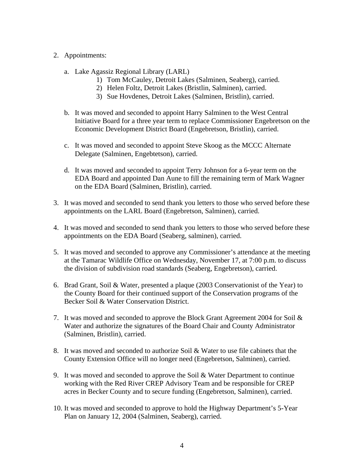### 2. Appointments:

- a. Lake Agassiz Regional Library (LARL)
	- 1) Tom McCauley, Detroit Lakes (Salminen, Seaberg), carried.
	- 2) Helen Foltz, Detroit Lakes (Bristlin, Salminen), carried.
	- 3) Sue Hovdenes, Detroit Lakes (Salminen, Bristlin), carried.
- b. It was moved and seconded to appoint Harry Salminen to the West Central Initiative Board for a three year term to replace Commissioner Engebretson on the Economic Development District Board (Engebretson, Bristlin), carried.
- c. It was moved and seconded to appoint Steve Skoog as the MCCC Alternate Delegate (Salminen, Engebtetson), carried.
- d. It was moved and seconded to appoint Terry Johnson for a 6-year term on the EDA Board and appointed Dan Aune to fill the remaining term of Mark Wagner on the EDA Board (Salminen, Bristlin), carried.
- 3. It was moved and seconded to send thank you letters to those who served before these appointments on the LARL Board (Engebretson, Salminen), carried.
- 4. It was moved and seconded to send thank you letters to those who served before these appointments on the EDA Board (Seaberg, salminen), carried.
- 5. It was moved and seconded to approve any Commissioner's attendance at the meeting at the Tamarac Wildlife Office on Wednesday, November 17, at 7:00 p.m. to discuss the division of subdivision road standards (Seaberg, Engebretson), carried.
- 6. Brad Grant, Soil & Water, presented a plaque (2003 Conservationist of the Year) to the County Board for their continued support of the Conservation programs of the Becker Soil & Water Conservation District.
- 7. It was moved and seconded to approve the Block Grant Agreement 2004 for Soil & Water and authorize the signatures of the Board Chair and County Administrator (Salminen, Bristlin), carried.
- 8. It was moved and seconded to authorize Soil & Water to use file cabinets that the County Extension Office will no longer need (Engebretson, Salminen), carried.
- 9. It was moved and seconded to approve the Soil & Water Department to continue working with the Red River CREP Advisory Team and be responsible for CREP acres in Becker County and to secure funding (Engebretson, Salminen), carried.
- 10. It was moved and seconded to approve to hold the Highway Department's 5-Year Plan on January 12, 2004 (Salminen, Seaberg), carried.